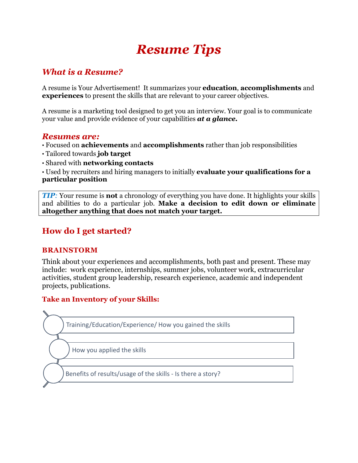# *Resume Tips*

# *What is a Resume?*

A resume is Your Advertisement! It summarizes your **education**, **accomplishments** and **experiences** to present the skills that are relevant to your career objectives.

A resume is a marketing tool designed to get you an interview. Your goal is to communicate your value and provide evidence of your capabilities *at a glance.*

## *Resumes are:*

- Focused on **achievements** and **accomplishments** rather than job responsibilities
- Tailored towards **job target**
- Shared with **networking contacts**

• Used by recruiters and hiring managers to initially **evaluate your qualifications for a particular position** 

*TIP:* Your resume is **not** a chronology of everything you have done. It highlights your skills and abilities to do a particular job. **Make a decision to edit down or eliminate altogether anything that does not match your target.** 

# **How do I get started?**

### **BRAINSTORM**

Think about your experiences and accomplishments, both past and present. These may include: work experience, internships, summer jobs, volunteer work, extracurricular activities, student group leadership, research experience, academic and independent projects, publications.

## **Take an Inventory of your Skills:**



How you applied the skills

Benefits of results/usage of the skills - Is there a story?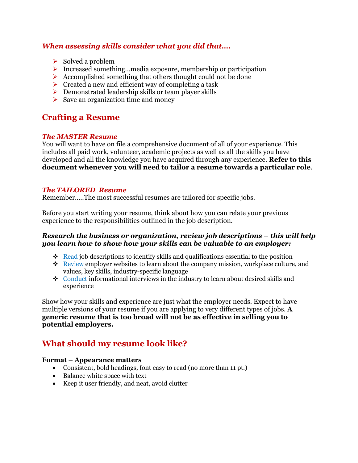### *When assessing skills consider what you did that….*

- $\triangleright$  Solved a problem
- Increased something…media exposure, membership or participation
- $\triangleright$  Accomplished something that others thought could not be done
- $\triangleright$  Created a new and efficient way of completing a task
- $\triangleright$  Demonstrated leadership skills or team player skills
- $\triangleright$  Save an organization time and money

# **Crafting a Resume**

#### *The MASTER Resume*

You will want to have on file a comprehensive document of all of your experience. This includes all paid work, volunteer, academic projects as well as all the skills you have developed and all the knowledge you have acquired through any experience. **Refer to this document whenever you will need to tailor a resume towards a particular role**.

#### *The TAILORED Resume*

Remember…..The most successful resumes are tailored for specific jobs.

Before you start writing your resume, think about how you can relate your previous experience to the responsibilities outlined in the job description*.* 

#### *Research the business or organization, review job descriptions – this will help you learn how to show how your skills can be valuable to an employer:*

- $\div$  Read job descriptions to identify skills and qualifications essential to the position
- $\div$  Review employer websites to learn about the company mission, workplace culture, and values, key skills, industry-specific language
- Conduct [informational interviews](https://www.careereducation.columbia.edu/resources/informational-interview-how-build-your-contacts-and-gain-industry-knowledge) in the industry to learn about desired skills and experience

Show how your skills and experience are just what the employer needs. Expect to have multiple versions of your resume if you are applying to very different types of jobs. **A generic resume that is too broad will not be as effective in selling you to potential employers.** 

# **What should my resume look like?**

#### **Format – Appearance matters**

- Consistent, bold headings, font easy to read (no more than 11 pt.)
- Balance white space with text
- Keep it user friendly, and neat, avoid clutter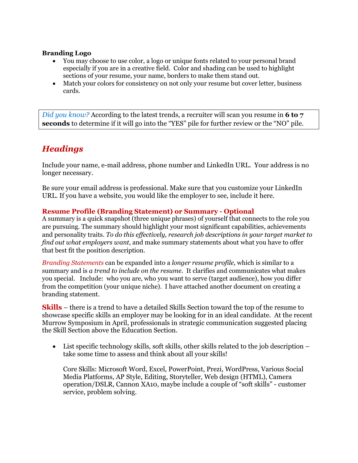#### **Branding Logo**

- You may choose to use color, a logo or unique fonts related to your personal brand especially if you are in a creative field. Color and shading can be used to highlight sections of your resume, your name, borders to make them stand out.
- Match your colors for consistency on not only your resume but cover letter, business cards.

*Did you know?* According to the latest trends, a recruiter will scan you resume in **6 to 7 seconds** to determine if it will go into the "YES" pile for further review or the "NO" pile.

# *Headings*

Include your name, e-mail address, phone number and LinkedIn URL. Your address is no longer necessary.

Be sure your email address is professional. Make sure that you customize your LinkedIn URL. If you have a website, you would like the employer to see, include it here.

### **Resume Profile (Branding Statement) or Summary - Optional**

A summary is a quick snapshot (three unique phrases) of yourself that connects to the role you are pursuing. The summary should highlight your most significant capabilities, achievements and personality traits. *To do this effectively, research job descriptions in your target market to find out what employers want*, and make summary statements about what you have to offer that best fit the position description.

*Branding Statements* can be expanded into a *longer resume profile*, which is similar to a summary and is *a trend to include on the resume*. It clarifies and communicates what makes you special. Include: who you are, who you want to serve (target audience), how you differ from the competition (your unique niche). I have attached another document on creating a branding statement.

**Skills** – there is a trend to have a detailed Skills Section toward the top of the resume to showcase specific skills an employer may be looking for in an ideal candidate. At the recent Murrow Symposium in April, professionals in strategic communication suggested placing the Skill Section above the Education Section.

• List specific technology skills, soft skills, other skills related to the job description – take some time to assess and think about all your skills!

Core Skills: Microsoft Word, Excel, PowerPoint, Prezi, WordPress, Various Social Media Platforms, AP Style, Editing, Storyteller, Web design (HTML), Camera operation/DSLR, Cannon XA10, maybe include a couple of "soft skills" - customer service, problem solving.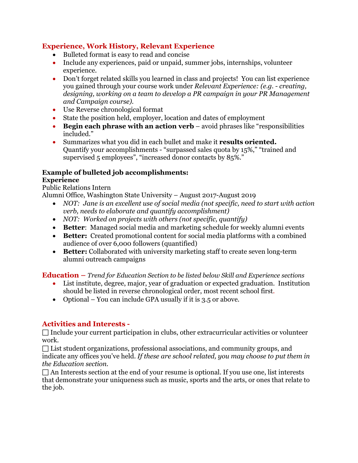### **Experience, Work History, Relevant Experience**

- Bulleted format is easy to read and concise
- Include any experiences, paid or unpaid, summer jobs, internships, volunteer experience.
- Don't forget related skills you learned in class and projects! You can list experience you gained through your course work under *Relevant Experience: (e.g. - creating, designing, working on a team to develop a PR campaign in your PR Management and Campaign course).*
- Use Reverse chronological format
- State the position held, employer, location and dates of employment
- **Begin each phrase with an action verb** avoid phrases like "responsibilities included."
- Summarizes what you did in each bullet and make it **results oriented.** Quantify your accomplishments - "surpassed sales quota by 15%," "trained and supervised 5 employees", "increased donor contacts by 85%."

## **Example of bulleted job accomplishments:**

### **Experience**

Public Relations Intern

Alumni Office, Washington State University – August 2017-August 2019

- *NOT: Jane is an excellent use of social media (not specific, need to start with action verb, needs to elaborate and quantify accomplishment)*
- *NOT: Worked on projects with others (not specific, quantify)*
- **Better**: Managed social media and marketing schedule for weekly alumni events
- **Better:** Created promotional content for social media platforms with a combined audience of over 6,000 followers (quantified)
- **Better:** Collaborated with university marketing staff to create seven long-term alumni outreach campaigns

**Education –** *Trend for Education Section to be listed below Skill and Experience sections*

- List institute, degree, major, year of graduation or expected graduation. Institution should be listed in reverse chronological order, most recent school first.
- Optional You can include GPA usually if it is 3.5 or above.

### **Activities and Interests -**

 $\Box$  Include your current participation in clubs, other extracurricular activities or volunteer work.

 $\Box$  List student organizations, professional associations, and community groups, and indicate any offices you've held. *If these are school related, you may choose to put them in the Education section.* 

 $\Box$  An Interests section at the end of your resume is optional. If you use one, list interests that demonstrate your uniqueness such as music, sports and the arts, or ones that relate to the job.